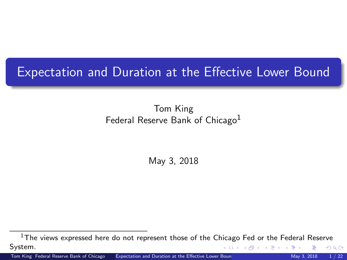### <span id="page-0-0"></span>Expectation and Duration at the Effective Lower Bound

### Tom King Federal Reserve Bank of Chicago<sup>1</sup>

May 3, 2018

 $1$ The views expressed here do not represent those of the Chicago Fed or the Federal Reserve System. K ロ ⊁ K 御 ⊁ K 差 ⊁ K つへへ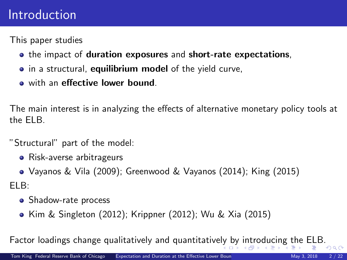### <span id="page-1-0"></span>Introduction

This paper studies

- the impact of duration exposures and short-rate expectations,
- **•** in a structural, **equilibrium model** of the yield curve,
- o with an effective lower bound.

The main interest is in analyzing the effects of alternative monetary policy tools at the ELB.

"Structural" part of the model:

- Risk-averse arbitrageurs
- Vayanos & Vila (2009); Greenwood & Vayanos (2014); King (2015)

ELB:

- Shadow-rate process
- Kim & Singleton (2012); Krippner (2012); Wu & Xia (2015)

Factor loadings change qualitative[ly](#page-0-0) and quantitatively [by](#page-2-0) [i](#page-0-0)[ntr](#page-1-0)[o](#page-2-0)[du](#page-0-0)[cin](#page-21-0)[g t](#page-0-0)[he](#page-21-0) [E](#page-0-0)[LB.](#page-21-0)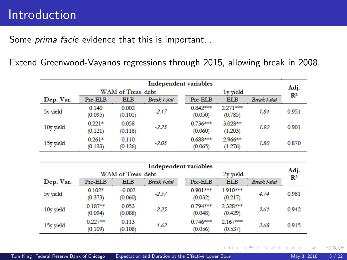### <span id="page-2-0"></span>Introduction

Some *prima facie* evidence that this is important...

Extend Greenwood-Vayanos regressions through 2015, allowing break in 2008.

|           | Independent variables |                  |              |                       |                       |              |                |  |
|-----------|-----------------------|------------------|--------------|-----------------------|-----------------------|--------------|----------------|--|
|           | WAM of Treas, debt    |                  |              |                       | $1v$ vield            |              |                |  |
| Dep. Var. | Pre-ELB               | <b>ELB</b>       | Break t-stat | Pre-ELB               | <b>ELB</b>            | Break t-stat | $\mathbf{R}^2$ |  |
| 5y yield  | 0.140<br>(0.095)      | 0.002<br>(0.101) | $-2.17$      | $0.842***$<br>(0.050) | $2.271***$<br>(0.785) | 1.84         | 0.951          |  |
| 10y yield | $0.221*$<br>(0.121)   | 0.058<br>(0.116) | $-2.25$      | $0.736***$<br>(0.060) | 3.028**<br>(1.203)    | 1.92         | 0.901          |  |
| 15y yield | $0.261*$<br>(0.133)   | 0.110<br>(0.126) | $-2.05$      | $0.688***$<br>(0.065) | 2.966**<br>(1.276)    | 1.80         | 0.870          |  |

| Independent variables |                      |                     |              |  |                       |                        |              |       |
|-----------------------|----------------------|---------------------|--------------|--|-----------------------|------------------------|--------------|-------|
|                       | WAM of Treas, debt   |                     |              |  |                       | Adj.<br>$\mathbf{R}^2$ |              |       |
| Dep. Var.             | Pre-ELB              | <b>ELB</b>          | Break t-stat |  | Pre-ELB               | <b>ELB</b>             | Break t-stat |       |
| 5y yield              | $0.102*$<br>(0.373)  | $-0.002$<br>(0.060) | $-2.57$      |  | $0.901***$<br>(0.032) | 1.910***<br>(0.217)    | 4.74         | 0.981 |
| 10y yield             | $0.187**$<br>(0.094) | 0.053<br>(0.088)    | $-2.25$      |  | $0.794***$<br>(0.048) | 2.328***<br>(0.429)    | 3.61         | 0.942 |
| 15y yield             | $0.227**$<br>(0.109) | 0.113<br>(0.108)    | $-1.62$      |  | $0.746***$<br>(0.056) | $2.167***$<br>(0.537)  | 2.68         | 0.915 |

 $299$ 

メロトメ 御下 メミトメ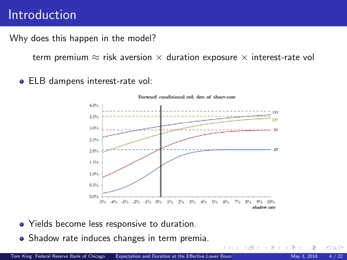### Introduction

Why does this happen in the model? where  $\mathbf{b}$  is the ELB and ELB and

*n neppen in the moder.*<br>*γ duration ≈ risk aversion × duration exposure × interest-rate vol*  $\frac{1}{\sqrt{N}}$  (Note that states follow discrete time processes.)

*rt* <sup>=</sup> max [b*rt*, *<sup>b</sup>*] (5)

4 D F → 母→

 $\blacktriangleright$  ELB dampens interest-rate vol:



- $\bullet$  Yields become less responsive to duration.
	- Shadow rate induces changes in term premia.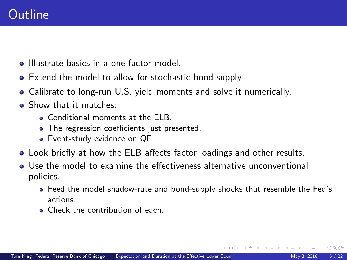- **Illustrate basics in a one-factor model**
- Extend the model to allow for stochastic bond supply.
- Calibrate to long-run U.S. yield moments and solve it numerically.
- **•** Show that it matches:
	- **Conditional moments at the FLB.**
	- The regression coefficients just presented.
	- Event-study evidence on QE.
- Look briefly at how the ELB affects factor loadings and other results.
- Use the model to examine the effectiveness alternative unconventional policies.
	- Feed the model shadow-rate and bond-supply shocks that resemble the Fed's actions.
	- **Check the contribution of each.**

 $\Omega$ 

イロメ イ押メ イヨメ イヨ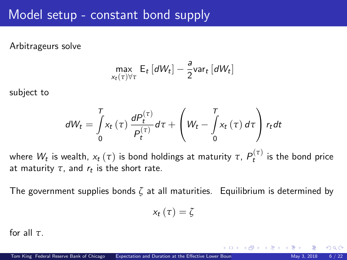### <span id="page-5-0"></span>Model setup - constant bond supply

### Arbitrageurs solve

$$
\max_{x_t(\tau)\forall\tau} \mathsf{E}_t\left[dW_t\right] - \frac{a}{2} \text{var}_t\left[dW_t\right]
$$

subject to

$$
dW_t = \int\limits_0^T x_t(\tau) \frac{dP_t^{(\tau)}}{P_t^{(\tau)}} d\tau + \left(W_t - \int\limits_0^T x_t(\tau) d\tau\right) r_t dt
$$

where  $W_t$  is wealth,  $x_t\left(\tau\right)$  is bond holdings at maturity  $\tau,\,P_t^{\left(\tau\right)}$  is the bond price at maturity  $\tau$ , and  $r_t$  is the short rate.

The government supplies bonds *ζ* at all maturities. Equilibrium is determined by

$$
x_{t}\left( \tau\right) =\zeta
$$

for all *τ*.

 $\Omega$ 

**K ロ ト K 何 ト K ヨ ト K**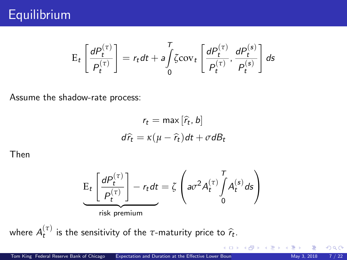## **Equilibrium**

$$
E_t\left[\frac{dP_t^{(\tau)}}{P_t^{(\tau)}}\right] = r_t dt + a \int\limits_0^T \zeta \text{cov}_t \left[\frac{dP_t^{(\tau)}}{P_t^{(\tau)}}, \frac{dP_t^{(s)}}{P_t^{(s)}}\right] ds
$$

Assume the shadow-rate process:

$$
r_t = \max[\hat{r}_t, b]
$$

$$
d\hat{r}_t = \kappa(\mu - \hat{r}_t)dt + \sigma dB_t
$$

Then

$$
\underbrace{\mathrm{E}_{t}\left[\frac{dP_{t}^{(\tau)}}{P_{t}^{(\tau)}}\right]-r_{t}dt}_{\text{risk premium}} = \zeta \left(a\sigma^{2}A_{t}^{(\tau)}\int_{0}^{T}A_{t}^{(s)}ds\right)
$$

where  $A_t^{(\tau)}$  is the sensitivity of the *τ*-maturity price to  $\hat{r}_t$ .

 $299$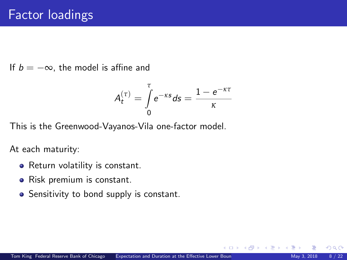If  $b = -\infty$ , the model is affine and

$$
A_t^{(\tau)} = \int\limits_0^{\tau} e^{-\kappa s} ds = \frac{1 - e^{-\kappa \tau}}{\kappa}
$$

This is the Greenwood-Vayanos-Vila one-factor model.

At each maturity:

- Return volatility is constant.
- Risk premium is constant.
- Sensitivity to bond supply is constant.

 $\Omega$ 

**K ロ ⊁ K 倒 ≯ K 差 ≯ K**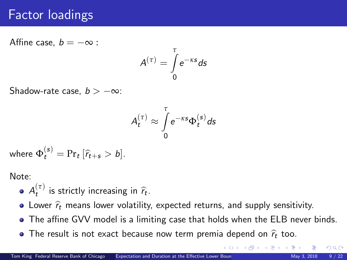### Factor loadings

Affine case,  $b = -\infty$ :

$$
A^{(\tau)} = \int\limits_0^{\tau} e^{-\kappa s} ds
$$

Shadow-rate case,  $b > -\infty$ :

$$
A_t^{(\tau)} \approx \int\limits_0^\tau e^{-\kappa s} \Phi_t^{(s)} ds
$$

where  $\Phi_t^{(s)} = Pr_t [\hat{r}_{t+s} > b].$ 

Note:

- $A_t^{(\tau)}$  is strictly increasing in  $\widehat{r}_t$ .
- Lower  $\hat{r}_t$  means lower volatility, expected returns, and supply sensitivity.
- The affine GVV model is a limiting case that holds when the ELB never binds.
- The result is not exact [b](#page-21-0)ecause now term premia depend on  $\hat{r}_t$  too.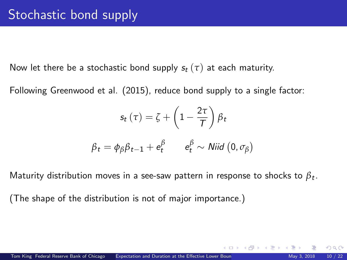Now let there be a stochastic bond supply  $s_t(\tau)$  at each maturity.

Following Greenwood et al. (2015), reduce bond supply to a single factor:

$$
s_t(\tau) = \zeta + \left(1 - \frac{2\tau}{T}\right)\beta_t
$$

$$
\beta_t = \phi_\beta \beta_{t-1} + e_t^\beta \qquad e_t^\beta \sim \text{Niid } (0, \sigma_\beta)
$$

Maturity distribution moves in a see-saw pattern in response to shocks to *β*<sup>t</sup> .

(The shape of the distribution is not of major importance.)

 $\Omega$ 

メロトメ 御下 メミトメ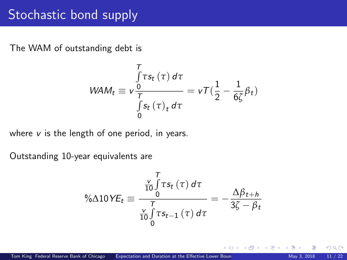### Stochastic bond supply

The WAM of outstanding debt is

$$
WAM_t \equiv v \frac{\int_{0}^{T} \tau s_t(\tau) d\tau}{\int_{0}^{T} s_t(\tau)_t d\tau} = vT(\frac{1}{2} - \frac{1}{6\zeta} \beta_t)
$$

where  $v$  is the length of one period, in years.

Outstanding 10-year equivalents are

$$
\% \Delta 10 \, VE_t \equiv \frac{\frac{V}{10} \int\limits_{0}^{T} \tau s_t \left(\tau\right) d\tau}{\frac{V}{10} \int\limits_{0}^{T} \tau s_{t-1} \left(\tau\right) d\tau} = -\frac{\Delta \beta_{t+h}}{3\zeta - \beta_t}
$$

**K ロ ト K 倒 ト K 差 ト** 

 $290$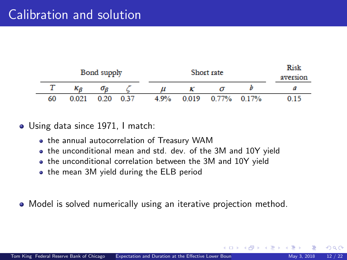| Bond supply |       |      |      | Risk<br>aversion |       |       |       |      |
|-------------|-------|------|------|------------------|-------|-------|-------|------|
|             |       | O P  |      |                  |       |       |       |      |
| 60          | 0.021 | 0.20 | 0.37 | 4.9%             | 0.019 | 0.77% | 0.17% | 0 15 |

Using data since 1971, I match:

- the annual autocorrelation of Treasury WAM
- the unconditional mean and std. dev. of the 3M and 10Y yield
- the unconditional correlation between the 3M and 10Y yield
- the mean 3M yield during the ELB period
- Model is solved numerically using an iterative projection method.

 $\Omega$ 

メロト メタト メミトメ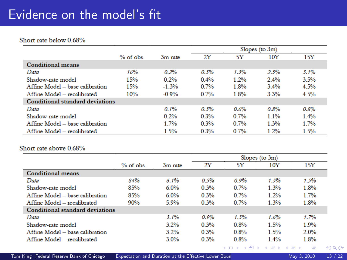## Evidence on the model's fit

#### Short rate below 0.68%

|                                        |             |         | Slopes (to $3m$ ) |         |         |      |
|----------------------------------------|-------------|---------|-------------------|---------|---------|------|
|                                        | $%$ of obs. | 3m rate | 2Y                | 5Υ      | 10Y     | 15Y  |
| <b>Conditional means</b>               |             |         |                   |         |         |      |
| Data                                   | 16%         | 0.2%    | 0.3%              | 1.3%    | 2.5%    | 3.1% |
| Shadow-rate model                      | 15%         | 0.2%    | $0.4\%$           | 1.2%    | $2.4\%$ | 3.5% |
| Affine Model – base calibration        | 15%         | $-1.3%$ | $0.7\%$           | 1.8%    | $3.4\%$ | 4.5% |
| Affine Model – recalibrated            | 10%         | $-0.9%$ | 0.7%              | 1.8%    | 3.3%    | 4.5% |
| <b>Conditional standard deviations</b> |             |         |                   |         |         |      |
| Data                                   |             | 0.1%    | 0.3%              | 0.6%    | 0.8%    | 0.8% |
| Shadow-rate model                      |             | $0.2\%$ | 0.3%              | $0.7\%$ | $11\%$  | 1.4% |
| Affine Model – base calibration        |             | 1.7%    | 0.3%              | 0.7%    | 1.3%    | 1.7% |
| Affine Model – recalibrated            |             | 1.5%    | 0.3%              | $0.7\%$ | 1.2%    | 1.5% |

#### Short rate above 0.68%

|                                        |             |         |      | Slopes (to $3m$ ) |                  |      |  |
|----------------------------------------|-------------|---------|------|-------------------|------------------|------|--|
|                                        | $%$ of obs. | 3m rate | 2Y   | 5Υ                | $10\rm{Y}$       | 15Y  |  |
| <b>Conditional means</b>               |             |         |      |                   |                  |      |  |
| Data                                   | 84%         | 6.1%    | 0.5% | 0.9%              | 1.3%             | 1.5% |  |
| Shadow-rate model                      | 85%         | $6.0\%$ | 0.3% | 0.7%              | 1.3%             | 1.8% |  |
| Affine Model – base calibration        | 85%         | $6.0\%$ | 0.3% | $0.7\%$           | 1.2%             | 1.7% |  |
| Affine Model - recalibrated            | 90%         | 5.9%    | 0.3% | 0.7%              | 1.3%             | 1.8% |  |
| <b>Conditional standard deviations</b> |             |         |      |                   |                  |      |  |
| Data                                   |             | 3.1%    | 0.9% | 1.3%              | 1.6%             | 1.7% |  |
| Shadow-rate model                      |             | 32%     | 0.3% | 0.8%              | 1.5%             | 1.9% |  |
| Affine Model – base calibration        |             | 3.2%    | 0.3% | 0.8%              | 1.5%             | 2.0% |  |
| Affine Model – recalibrated            |             | $3.0\%$ | 0.3% | 0.8%              | 1.4%             | 1.8% |  |
|                                        |             |         |      |                   | イロト イ押 トイヨ トイヨ ト | −B.  |  |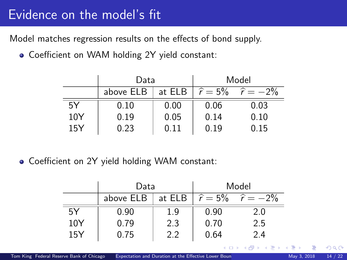### Evidence on the model's fit

Model matches regression results on the effects of bond supply.

Coefficient on WAM holding 2Y yield constant:

|     | Data      |      | Model |                                          |  |
|-----|-----------|------|-------|------------------------------------------|--|
|     | above ELB |      |       | at ELB $ \hat{r} = 5\%$ $\hat{r} = -2\%$ |  |
| 5Y  | 0.10      | 0.00 | 0.06  | 0.03                                     |  |
| 10Y | 0.19      | 0.05 | 0.14  | 0.10                                     |  |
| 15Y | 0.23      | 0.11 | 0.19  | 0.15                                     |  |

• Coefficient on 2Y yield holding WAM constant:

|     | Data      |     | Model |                                          |  |
|-----|-----------|-----|-------|------------------------------------------|--|
|     | above ELB |     |       | at ELB $ \hat{r} = 5\%$ $\hat{r} = -2\%$ |  |
| 5Y  | 0.90      | 1.9 | 0.90  | 2.0                                      |  |
| 10Y | 0.79      | 2.3 | 0.70  | 2.5                                      |  |
| 15Y | 0.75      | 2.2 | 0.64  | 2.4                                      |  |
|     |           |     |       | メロメ (御) メミンメミン                           |  |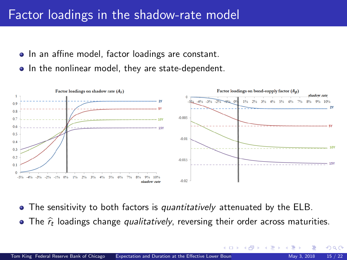#### Factor loadings in the shadow-rate model *y* (*t*) *<sup>t</sup>* <sup>≈</sup> *<sup>C</sup>*(*t*) *<sup>t</sup>* <sup>+</sup> *<sup>A</sup>*(*t*) <sup>b</sup>*r*,*<sup>t</sup>* <sup>b</sup>*<sup>r</sup>* <sup>+</sup> *<sup>A</sup>*(*t*)

- In an affine model, factor loadings are constant.
- In the nonlinear model, they are state-dependent. In the nonlinear model, they are state-dependent.



- The sensitivity to both factors is *quantitatively* attenuated by the ELB. The sensitivity to both factors is *quantitatively* attenuated by the ELB.  $\bullet$
- <sup>b</sup>*<sup>r</sup>* loadings change *qualitatively*, reversing their order across maturities. The  $\widehat{r}_t$  loadings change *qualitatively*, reversing their order across maturities.

 $\Omega$ 

**K ロ ▶ | K 何 ▶ | K 日** 

*<sup>b</sup>*,*<sup>t</sup> b* (12)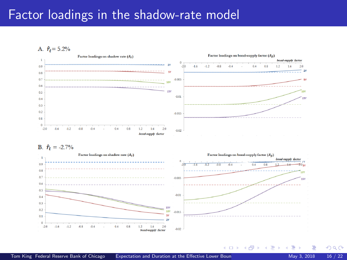### Factor loadings in the shadow-rate model

A.  $\hat{r}_t = 5.2\%$ 



B.  $\hat{r}_t = -2.7\%$ 



 $\Omega$ 

**K ロ ト K 何 ト K ヨ ト**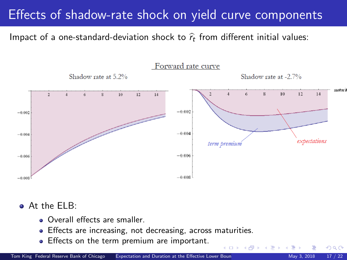## Effects of shadow-rate shock on yield curve components

Impact of a one-standard-deviation shock to  $\widehat{r}_t$  from different initial values:



 $+$ 

At the ELB: At the ELB:

- Overall effects are smaller.
- Effects are increasing, not decreasing, across maturities.
- Effects on the term premium are important.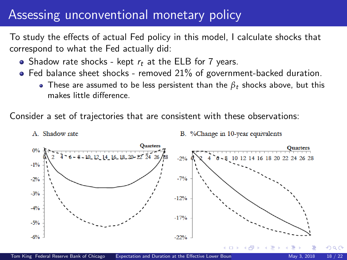### Assessing unconventional monetary policy

To study the effects of actual Fed policy in this model, I calculate shocks that correspond to what the Fed actually did:

• Shadow rate shocks - kept  $r_t$  at the ELB for 7 years.

A. Shadow rate

- $\bullet$  Fed balance sheet shocks removed 21% of government-backed duration.
	- These are assumed to be less persistent than the  $\beta_t$  shocks above, but this makes little difference.

Consider a set of trajectories that are consistent with these observations:



B. %Change in 10-year equivalents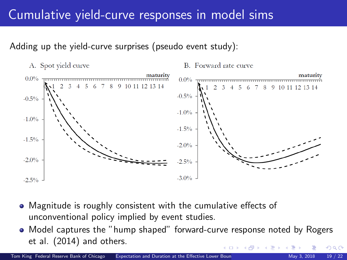# Cumulative yield-curve responses in model sims Cumulative yield-curve responses in model sims

### Adding up the yield-curve surprises (pseudo event study): Adding up the yield-curve surprises (pseudo event study):

A. Spot yield curve

B. Forward rate curve



- Magnitude is roughly consistent with the cumulative effects of unconventional policy implied by event studies. unconventional policy implied by event studies.
- Model captures the "hump shaped" forward-curve response noted by Rogers Model captures the "hump shaped" forward-curve response noted by Rogers et al. (2014) and others. et al. (2014) and others.  $\Omega$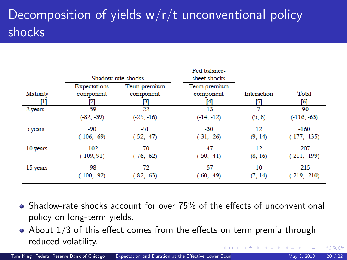# Decomposition of yields  $w/r/t$  unconventional policy shocks

|                 |                                  | Shadow-rate shocks                    | Fed balance-<br>sheet shocks     |                    |                              |
|-----------------|----------------------------------|---------------------------------------|----------------------------------|--------------------|------------------------------|
| Maturity<br>[1] | Expectations<br>component<br>[2] | Term premium<br>component<br>$^{[3]}$ | Term premium<br>component<br>[4] | Interaction<br>[5] | Total<br>$\lbrack 6 \rbrack$ |
| 2 years         | $-59$                            | $-22$                                 | $-13$                            | 7                  | $-90$                        |
|                 | $(-82, -39)$                     | $(-25, -16)$                          | $(-14, -12)$                     | (5, 8)             | $(-116, -63)$                |
| 5 years         | $-90$                            | $-51$                                 | $-30$                            | 12                 | $-160$                       |
|                 | $(-106, -69)$                    | $(-52, -47)$                          | $(-31, -26)$                     | (9, 14)            | $(-177, -135)$               |
| 10 years        | $-102$                           | $-70$                                 | $-47$                            | 12                 | $-207$                       |
|                 | $(-109, 91)$                     | $(-76, -62)$                          | $(-50, -41)$                     | (8, 16)            | $(-211, -199)$               |
| 15 years        | $-98$                            | $-72$                                 | $-57$                            | 10                 | $-215$                       |
|                 | $(-100, -92)$                    | $(-82, -63)$                          | $(-60, -49)$                     | (7, 14)            | $(-219, -210)$               |

• Shadow-rate shocks account for over 75% of the effects of unconventional policy on long-term yields.

 $\bullet$  About  $1/3$  of this effect comes from the effects on term premia through reduced volatility. イロメ イ部メ イヨメ イ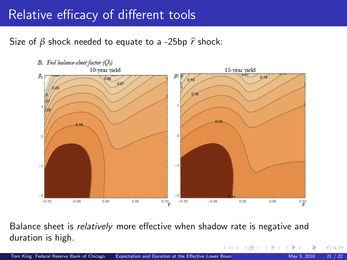### Relative efficacy of different tools

Size of  $\beta$  shock needed to equate to a -25bp  $\hat{r}$  shock:



Balance sheet is relatively more effective when shadow rate is negative and duration is high.

 $\Omega$ 

**K ロ ⊁ K 倒 ≯ K 差 ≯ K**